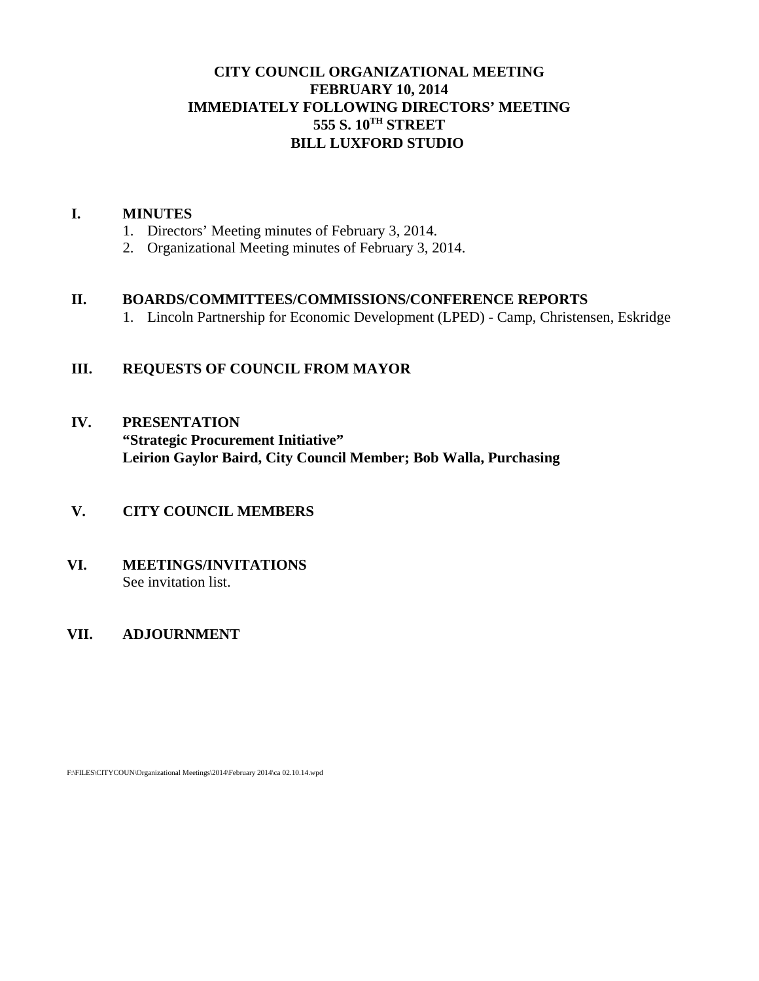# **CITY COUNCIL ORGANIZATIONAL MEETING FEBRUARY 10, 2014 IMMEDIATELY FOLLOWING DIRECTORS' MEETING 555 S. 10TH STREET BILL LUXFORD STUDIO**

## **I. MINUTES**

- 1. Directors' Meeting minutes of February 3, 2014.
- 2. Organizational Meeting minutes of February 3, 2014.

## **II. BOARDS/COMMITTEES/COMMISSIONS/CONFERENCE REPORTS**

1. Lincoln Partnership for Economic Development (LPED) - Camp, Christensen, Eskridge

# **III. REQUESTS OF COUNCIL FROM MAYOR**

**IV. PRESENTATION "Strategic Procurement Initiative" Leirion Gaylor Baird, City Council Member; Bob Walla, Purchasing** 

# **V. CITY COUNCIL MEMBERS**

**VI. MEETINGS/INVITATIONS** See invitation list.

# **VII. ADJOURNMENT**

F:\FILES\CITYCOUN\Organizational Meetings\2014\February 2014\ca 02.10.14.wpd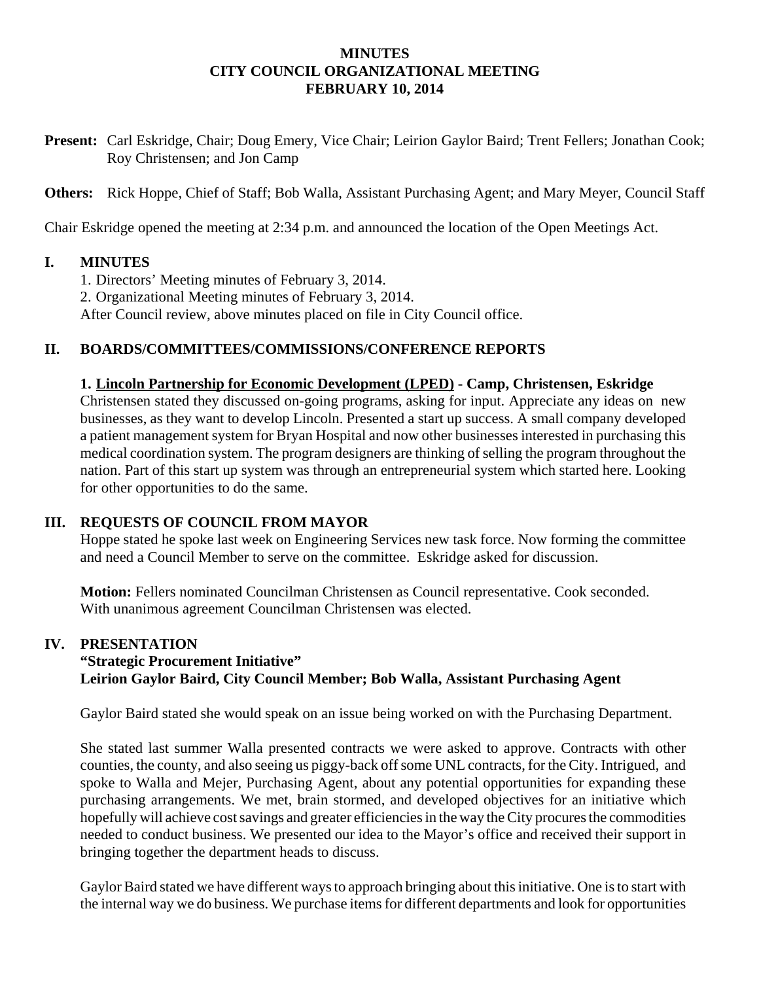## **MINUTES CITY COUNCIL ORGANIZATIONAL MEETING FEBRUARY 10, 2014**

**Present:** Carl Eskridge, Chair; Doug Emery, Vice Chair; Leirion Gaylor Baird; Trent Fellers; Jonathan Cook; Roy Christensen; and Jon Camp

**Others:** Rick Hoppe, Chief of Staff; Bob Walla, Assistant Purchasing Agent; and Mary Meyer, Council Staff

Chair Eskridge opened the meeting at 2:34 p.m. and announced the location of the Open Meetings Act.

## **I. MINUTES**

- 1. Directors' Meeting minutes of February 3, 2014.
- 2. Organizational Meeting minutes of February 3, 2014.

After Council review, above minutes placed on file in City Council office.

## **II. BOARDS/COMMITTEES/COMMISSIONS/CONFERENCE REPORTS**

#### **1. Lincoln Partnership for Economic Development (LPED) - Camp, Christensen, Eskridge**

Christensen stated they discussed on-going programs, asking for input. Appreciate any ideas on new businesses, as they want to develop Lincoln. Presented a start up success. A small company developed a patient management system for Bryan Hospital and now other businesses interested in purchasing this medical coordination system. The program designers are thinking of selling the program throughout the nation. Part of this start up system was through an entrepreneurial system which started here. Looking for other opportunities to do the same.

#### **III. REQUESTS OF COUNCIL FROM MAYOR**

Hoppe stated he spoke last week on Engineering Services new task force. Now forming the committee and need a Council Member to serve on the committee. Eskridge asked for discussion.

**Motion:** Fellers nominated Councilman Christensen as Council representative. Cook seconded. With unanimous agreement Councilman Christensen was elected.

#### **IV. PRESENTATION**

# **"Strategic Procurement Initiative" Leirion Gaylor Baird, City Council Member; Bob Walla, Assistant Purchasing Agent**

Gaylor Baird stated she would speak on an issue being worked on with the Purchasing Department.

She stated last summer Walla presented contracts we were asked to approve. Contracts with other counties, the county, and also seeing us piggy-back off some UNL contracts, for the City. Intrigued, and spoke to Walla and Mejer, Purchasing Agent, about any potential opportunities for expanding these purchasing arrangements. We met, brain stormed, and developed objectives for an initiative which hopefully will achieve cost savings and greater efficiencies in the way the City procures the commodities needed to conduct business. We presented our idea to the Mayor's office and received their support in bringing together the department heads to discuss.

Gaylor Baird stated we have different ways to approach bringing about this initiative. One is to start with the internal way we do business. We purchase items for different departments and look for opportunities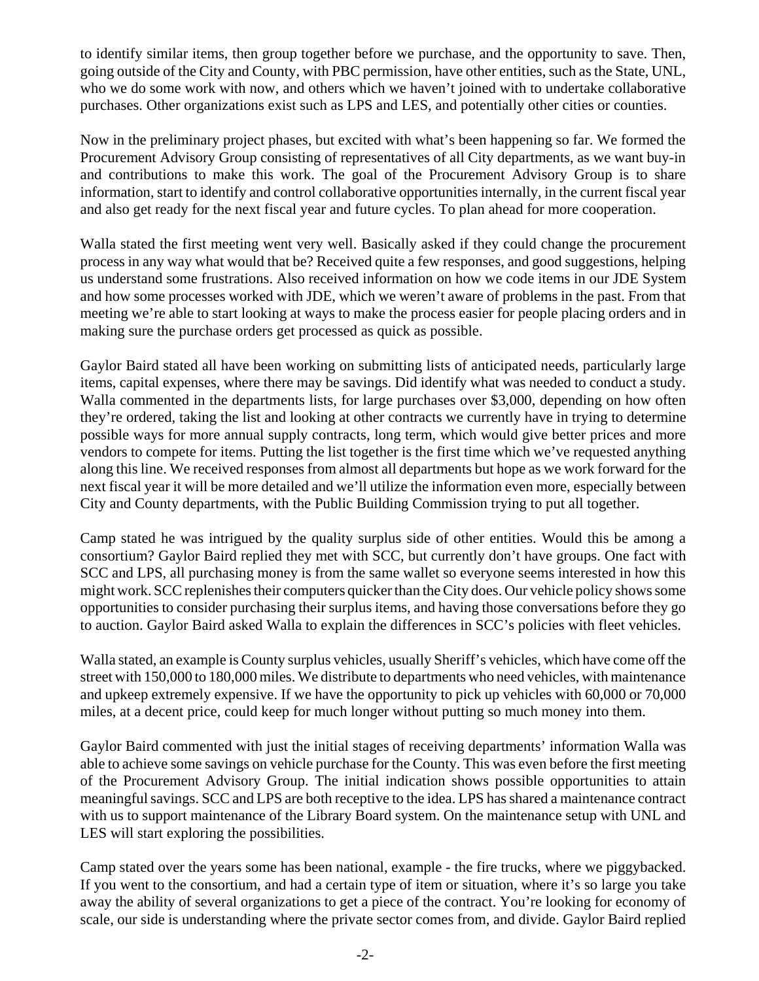to identify similar items, then group together before we purchase, and the opportunity to save. Then, going outside of the City and County, with PBC permission, have other entities, such as the State, UNL, who we do some work with now, and others which we haven't joined with to undertake collaborative purchases. Other organizations exist such as LPS and LES, and potentially other cities or counties.

Now in the preliminary project phases, but excited with what's been happening so far. We formed the Procurement Advisory Group consisting of representatives of all City departments, as we want buy-in and contributions to make this work. The goal of the Procurement Advisory Group is to share information, start to identify and control collaborative opportunities internally, in the current fiscal year and also get ready for the next fiscal year and future cycles. To plan ahead for more cooperation.

Walla stated the first meeting went very well. Basically asked if they could change the procurement process in any way what would that be? Received quite a few responses, and good suggestions, helping us understand some frustrations. Also received information on how we code items in our JDE System and how some processes worked with JDE, which we weren't aware of problems in the past. From that meeting we're able to start looking at ways to make the process easier for people placing orders and in making sure the purchase orders get processed as quick as possible.

Gaylor Baird stated all have been working on submitting lists of anticipated needs, particularly large items, capital expenses, where there may be savings. Did identify what was needed to conduct a study. Walla commented in the departments lists, for large purchases over \$3,000, depending on how often they're ordered, taking the list and looking at other contracts we currently have in trying to determine possible ways for more annual supply contracts, long term, which would give better prices and more vendors to compete for items. Putting the list together is the first time which we've requested anything along this line. We received responses from almost all departments but hope as we work forward for the next fiscal year it will be more detailed and we'll utilize the information even more, especially between City and County departments, with the Public Building Commission trying to put all together.

Camp stated he was intrigued by the quality surplus side of other entities. Would this be among a consortium? Gaylor Baird replied they met with SCC, but currently don't have groups. One fact with SCC and LPS, all purchasing money is from the same wallet so everyone seems interested in how this might work. SCC replenishes their computers quicker than the City does. Our vehicle policy shows some opportunities to consider purchasing their surplus items, and having those conversations before they go to auction. Gaylor Baird asked Walla to explain the differences in SCC's policies with fleet vehicles.

Walla stated, an example is County surplus vehicles, usually Sheriff's vehicles, which have come off the street with 150,000 to 180,000 miles. We distribute to departments who need vehicles, with maintenance and upkeep extremely expensive. If we have the opportunity to pick up vehicles with 60,000 or 70,000 miles, at a decent price, could keep for much longer without putting so much money into them.

Gaylor Baird commented with just the initial stages of receiving departments' information Walla was able to achieve some savings on vehicle purchase for the County. This was even before the first meeting of the Procurement Advisory Group. The initial indication shows possible opportunities to attain meaningful savings. SCC and LPS are both receptive to the idea. LPS has shared a maintenance contract with us to support maintenance of the Library Board system. On the maintenance setup with UNL and LES will start exploring the possibilities.

Camp stated over the years some has been national, example - the fire trucks, where we piggybacked. If you went to the consortium, and had a certain type of item or situation, where it's so large you take away the ability of several organizations to get a piece of the contract. You're looking for economy of scale, our side is understanding where the private sector comes from, and divide. Gaylor Baird replied